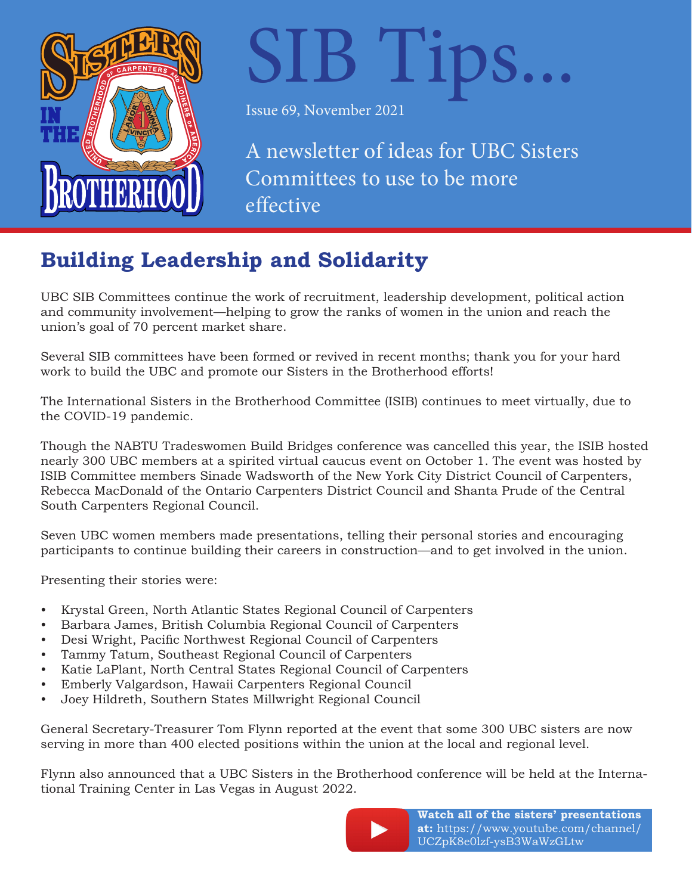

# SIB Tips...

Issue 69, November 2021

A newsletter of ideas for UBC Sisters Committees to use to be more effective

# **Building Leadership and Solidarity**

UBC SIB Committees continue the work of recruitment, leadership development, political action and community involvement—helping to grow the ranks of women in the union and reach the union's goal of 70 percent market share.

Several SIB committees have been formed or revived in recent months; thank you for your hard work to build the UBC and promote our Sisters in the Brotherhood efforts!

The International Sisters in the Brotherhood Committee (ISIB) continues to meet virtually, due to the COVID-19 pandemic.

Though the NABTU Tradeswomen Build Bridges conference was cancelled this year, the ISIB hosted nearly 300 UBC members at a spirited virtual caucus event on October 1. The event was hosted by ISIB Committee members Sinade Wadsworth of the New York City District Council of Carpenters, Rebecca MacDonald of the Ontario Carpenters District Council and Shanta Prude of the Central South Carpenters Regional Council.

Seven UBC women members made presentations, telling their personal stories and encouraging participants to continue building their careers in construction—and to get involved in the union.

Presenting their stories were:

- Krystal Green, North Atlantic States Regional Council of Carpenters
- Barbara James, British Columbia Regional Council of Carpenters
- Desi Wright, Pacific Northwest Regional Council of Carpenters
- Tammy Tatum, Southeast Regional Council of Carpenters
- Katie LaPlant, North Central States Regional Council of Carpenters
- Emberly Valgardson, Hawaii Carpenters Regional Council
- Joey Hildreth, Southern States Millwright Regional Council

General Secretary-Treasurer Tom Flynn reported at the event that some 300 UBC sisters are now serving in more than 400 elected positions within the union at the local and regional level.

Flynn also announced that a UBC Sisters in the Brotherhood conference will be held at the International Training Center in Las Vegas in August 2022.



**Watch all of the sisters' presentations at:** [https://www.youtube.com/channel/](https://www.youtube.com/channel/UCZpK8e0lzf-ysB3WaWzGLtw) UCZpK8e0lzf-ysB3WaWzGLtw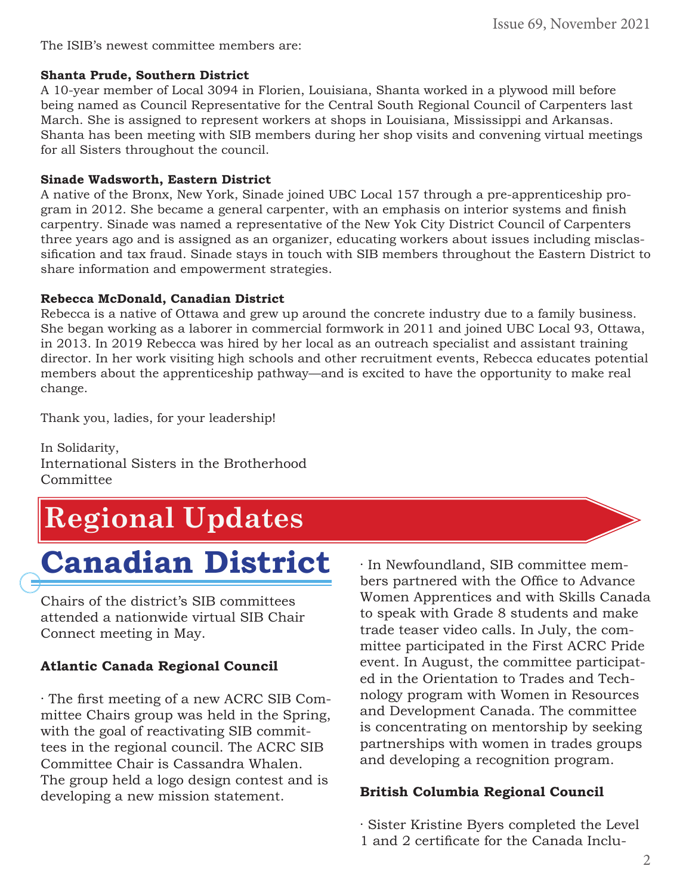The ISIB's newest committee members are:

#### **Shanta Prude, Southern District**

A 10-year member of Local 3094 in Florien, Louisiana, Shanta worked in a plywood mill before being named as Council Representative for the Central South Regional Council of Carpenters last March. She is assigned to represent workers at shops in Louisiana, Mississippi and Arkansas. Shanta has been meeting with SIB members during her shop visits and convening virtual meetings for all Sisters throughout the council.

#### **Sinade Wadsworth, Eastern District**

A native of the Bronx, New York, Sinade joined UBC Local 157 through a pre-apprenticeship program in 2012. She became a general carpenter, with an emphasis on interior systems and finish carpentry. Sinade was named a representative of the New Yok City District Council of Carpenters three years ago and is assigned as an organizer, educating workers about issues including misclassification and tax fraud. Sinade stays in touch with SIB members throughout the Eastern District to share information and empowerment strategies.

#### **Rebecca McDonald, Canadian District**

Rebecca is a native of Ottawa and grew up around the concrete industry due to a family business. She began working as a laborer in commercial formwork in 2011 and joined UBC Local 93, Ottawa, in 2013. In 2019 Rebecca was hired by her local as an outreach specialist and assistant training director. In her work visiting high schools and other recruitment events, Rebecca educates potential members about the apprenticeship pathway—and is excited to have the opportunity to make real change.

Thank you, ladies, for your leadership!

In Solidarity, International Sisters in the Brotherhood Committee

# **Regional Updates**

# **Canadian District**

Chairs of the district's SIB committees attended a nationwide virtual SIB Chair Connect meeting in May.

#### **Atlantic Canada Regional Council**

· The first meeting of a new ACRC SIB Committee Chairs group was held in the Spring, with the goal of reactivating SIB committees in the regional council. The ACRC SIB Committee Chair is Cassandra Whalen. The group held a logo design contest and is developing a new mission statement.

· In Newfoundland, SIB committee members partnered with the Office to Advance Women Apprentices and with Skills Canada to speak with Grade 8 students and make trade teaser video calls. In July, the committee participated in the First ACRC Pride event. In August, the committee participated in the Orientation to Trades and Technology program with Women in Resources and Development Canada. The committee is concentrating on mentorship by seeking partnerships with women in trades groups and developing a recognition program.

#### **British Columbia Regional Council**

· Sister Kristine Byers completed the Level 1 and 2 certificate for the Canada Inclu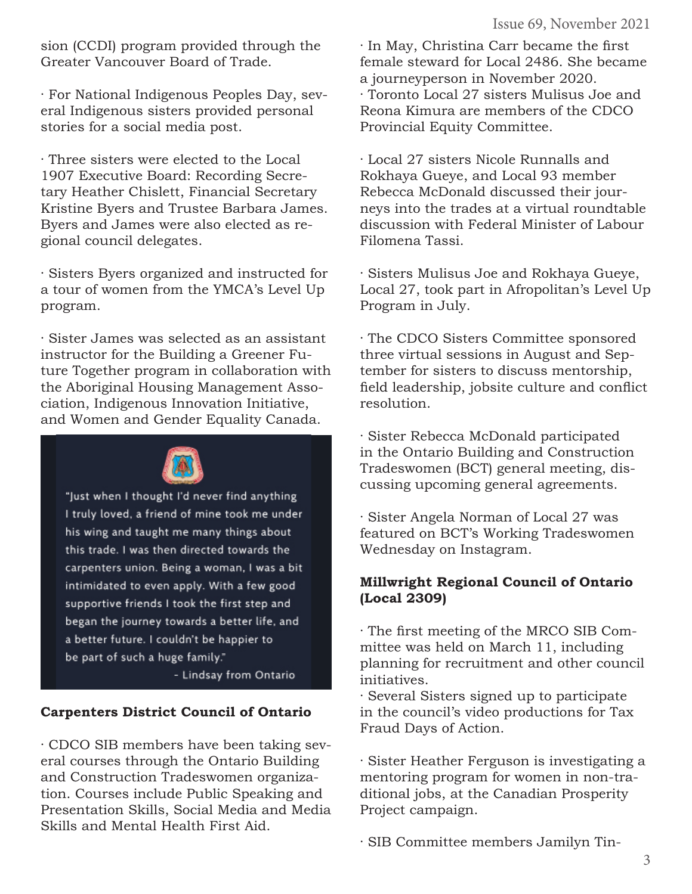sion (CCDI) program provided through the Greater Vancouver Board of Trade.

· For National Indigenous Peoples Day, several Indigenous sisters provided personal stories for a social media post.

· Three sisters were elected to the Local 1907 Executive Board: Recording Secretary Heather Chislett, Financial Secretary Kristine Byers and Trustee Barbara James. Byers and James were also elected as regional council delegates.

· Sisters Byers organized and instructed for a tour of women from the YMCA's Level Up program.

· Sister James was selected as an assistant instructor for the Building a Greener Future Together program in collaboration with the Aboriginal Housing Management Association, Indigenous Innovation Initiative, and Women and Gender Equality Canada.



"Just when I thought I'd never find anything I truly loved, a friend of mine took me under his wing and taught me many things about this trade. I was then directed towards the carpenters union. Being a woman, I was a bit intimidated to even apply. With a few good supportive friends I took the first step and began the journey towards a better life, and a better future. I couldn't be happier to be part of such a huge family."

- Lindsay from Ontario

#### **Carpenters District Council of Ontario**

· CDCO SIB members have been taking several courses through the Ontario Building and Construction Tradeswomen organization. Courses include Public Speaking and Presentation Skills, Social Media and Media Skills and Mental Health First Aid.

· In May, Christina Carr became the first female steward for Local 2486. She became a journeyperson in November 2020. · Toronto Local 27 sisters Mulisus Joe and Reona Kimura are members of the CDCO Provincial Equity Committee.

· Local 27 sisters Nicole Runnalls and Rokhaya Gueye, and Local 93 member Rebecca McDonald discussed their journeys into the trades at a virtual roundtable discussion with Federal Minister of Labour Filomena Tassi.

· Sisters Mulisus Joe and Rokhaya Gueye, Local 27, took part in Afropolitan's Level Up Program in July.

· The CDCO Sisters Committee sponsored three virtual sessions in August and September for sisters to discuss mentorship, field leadership, jobsite culture and conflict resolution.

· Sister Rebecca McDonald participated in the Ontario Building and Construction Tradeswomen (BCT) general meeting, discussing upcoming general agreements.

· Sister Angela Norman of Local 27 was featured on BCT's Working Tradeswomen Wednesday on Instagram.

#### **Millwright Regional Council of Ontario (Local 2309)**

· The first meeting of the MRCO SIB Committee was held on March 11, including planning for recruitment and other council initiatives.

· Several Sisters signed up to participate in the council's video productions for Tax Fraud Days of Action.

· Sister Heather Ferguson is investigating a mentoring program for women in non-traditional jobs, at the Canadian Prosperity Project campaign.

· SIB Committee members Jamilyn Tin-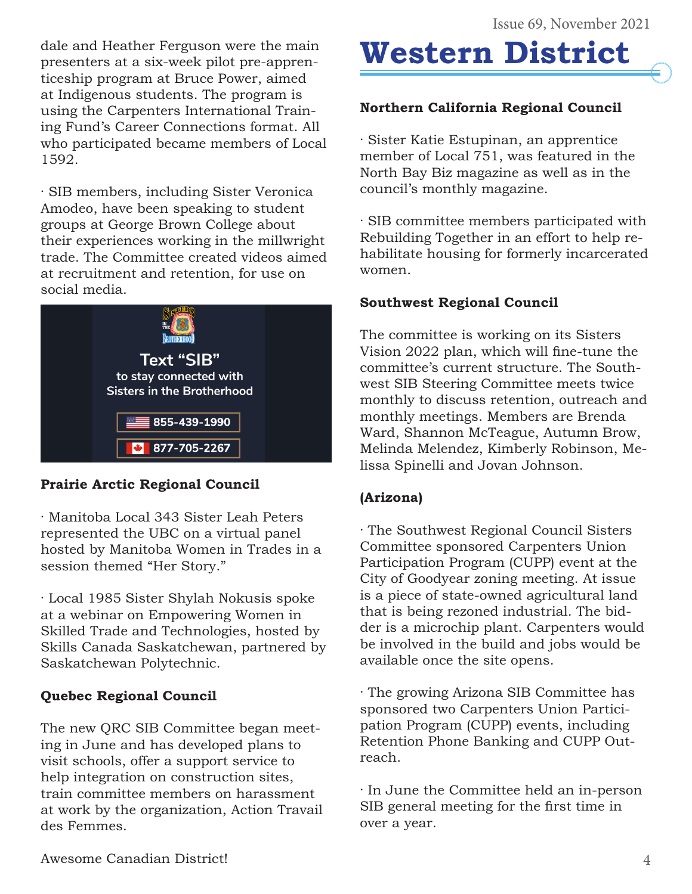dale and Heather Ferguson were the main presenters at a six-week pilot pre-apprenticeship program at Bruce Power, aimed at Indigenous students. The program is using the Carpenters International Training Fund's Career Connections format. All who participated became members of Local 1592.

· SIB members, including Sister Veronica Amodeo, have been speaking to student groups at George Brown College about their experiences working in the millwright trade. The Committee created videos aimed at recruitment and retention, for use on social media.



# **Prairie Arctic Regional Council**

· Manitoba Local 343 Sister Leah Peters represented the UBC on a virtual panel hosted by Manitoba Women in Trades in a session themed "Her Story."

· Local 1985 Sister Shylah Nokusis spoke at a webinar on Empowering Women in Skilled Trade and Technologies, hosted by Skills Canada Saskatchewan, partnered by Saskatchewan Polytechnic.

## **Quebec Regional Council**

The new QRC SIB Committee began meeting in June and has developed plans to visit schools, offer a support service to help integration on construction sites, train committee members on harassment at work by the organization, Action Travail des Femmes.

# **Western District**

# **Northern California Regional Council**

· Sister Katie Estupinan, an apprentice member of Local 751, was featured in the North Bay Biz magazine as well as in the council's monthly magazine.

· SIB committee members participated with Rebuilding Together in an effort to help rehabilitate housing for formerly incarcerated women.

### **Southwest Regional Council**

The committee is working on its Sisters Vision 2022 plan, which will fine-tune the committee's current structure. The Southwest SIB Steering Committee meets twice monthly to discuss retention, outreach and monthly meetings. Members are Brenda Ward, Shannon McTeague, Autumn Brow, Melinda Melendez, Kimberly Robinson, Melissa Spinelli and Jovan Johnson.

## **(Arizona)**

· The Southwest Regional Council Sisters Committee sponsored Carpenters Union Participation Program (CUPP) event at the City of Goodyear zoning meeting. At issue is a piece of state-owned agricultural land that is being rezoned industrial. The bidder is a microchip plant. Carpenters would be involved in the build and jobs would be available once the site opens.

· The growing Arizona SIB Committee has sponsored two Carpenters Union Participation Program (CUPP) events, including Retention Phone Banking and CUPP Outreach.

· In June the Committee held an in-person SIB general meeting for the first time in over a year.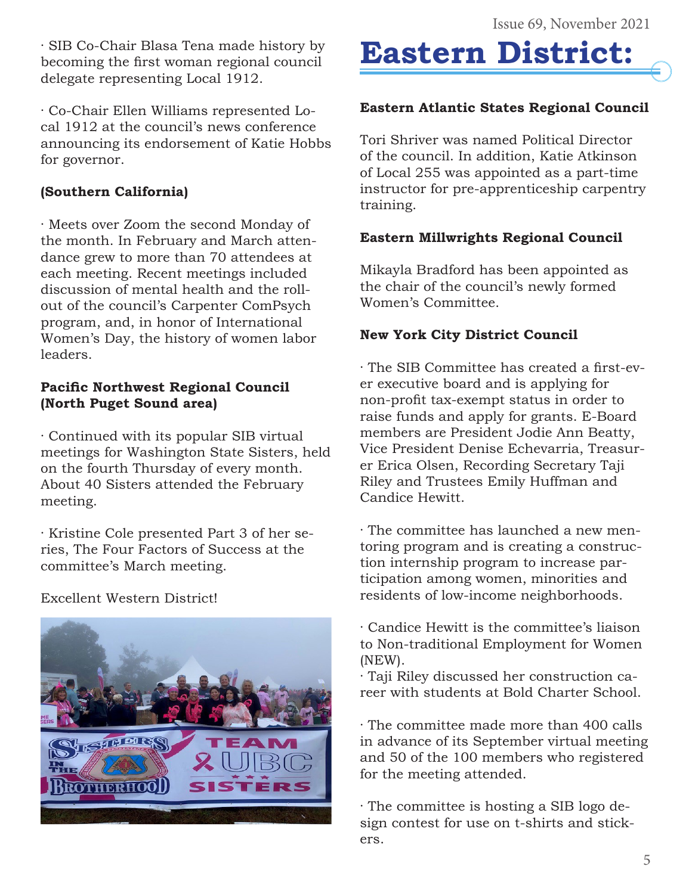· SIB Co-Chair Blasa Tena made history by becoming the first woman regional council delegate representing Local 1912.

· Co-Chair Ellen Williams represented Local 1912 at the council's news conference announcing its endorsement of Katie Hobbs for governor.

#### **(Southern California)**

· Meets over Zoom the second Monday of the month. In February and March attendance grew to more than 70 attendees at each meeting. Recent meetings included discussion of mental health and the rollout of the council's Carpenter ComPsych program, and, in honor of International Women's Day, the history of women labor leaders.

#### **Pacific Northwest Regional Council (North Puget Sound area)**

· Continued with its popular SIB virtual meetings for Washington State Sisters, held on the fourth Thursday of every month. About 40 Sisters attended the February meeting.

· Kristine Cole presented Part 3 of her series, The Four Factors of Success at the committee's March meeting.

Excellent Western District!



# **Eastern District:**

#### **Eastern Atlantic States Regional Council**

Tori Shriver was named Political Director of the council. In addition, Katie Atkinson of Local 255 was appointed as a part-time instructor for pre-apprenticeship carpentry training.

#### **Eastern Millwrights Regional Council**

Mikayla Bradford has been appointed as the chair of the council's newly formed Women's Committee.

### **New York City District Council**

· The SIB Committee has created a first-ever executive board and is applying for non-profit tax-exempt status in order to raise funds and apply for grants. E-Board members are President Jodie Ann Beatty, Vice President Denise Echevarria, Treasurer Erica Olsen, Recording Secretary Taji Riley and Trustees Emily Huffman and Candice Hewitt.

· The committee has launched a new mentoring program and is creating a construction internship program to increase participation among women, minorities and residents of low-income neighborhoods.

- · Candice Hewitt is the committee's liaison to Non-traditional Employment for Women (NEW).
- · Taji Riley discussed her construction career with students at Bold Charter School.
- · The committee made more than 400 calls in advance of its September virtual meeting and 50 of the 100 members who registered for the meeting attended.

· The committee is hosting a SIB logo design contest for use on t-shirts and stickers.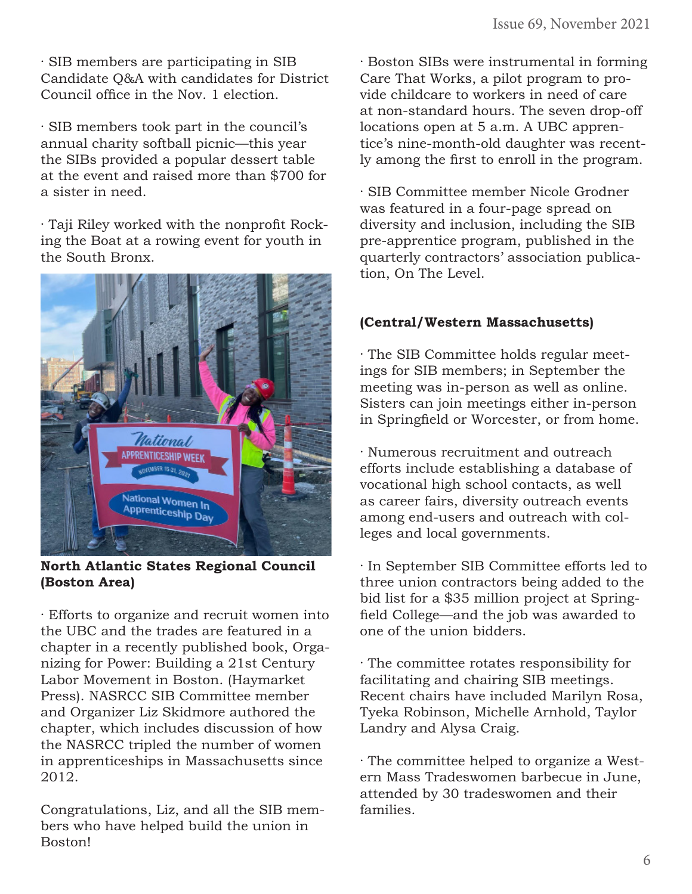· SIB members are participating in SIB Candidate Q&A with candidates for District Council office in the Nov. 1 election.

· SIB members took part in the council's annual charity softball picnic—this year the SIBs provided a popular dessert table at the event and raised more than \$700 for a sister in need.

· Taji Riley worked with the nonprofit Rocking the Boat at a rowing event for youth in the South Bronx.



**North Atlantic States Regional Council (Boston Area)**

· Efforts to organize and recruit women into the UBC and the trades are featured in a chapter in a recently published book, Organizing for Power: Building a 21st Century Labor Movement in Boston. (Haymarket Press). NASRCC SIB Committee member and Organizer Liz Skidmore authored the chapter, which includes discussion of how the NASRCC tripled the number of women in apprenticeships in Massachusetts since 2012.

Congratulations, Liz, and all the SIB members who have helped build the union in Boston!

· Boston SIBs were instrumental in forming Care That Works, a pilot program to provide childcare to workers in need of care at non-standard hours. The seven drop-off locations open at 5 a.m. A UBC apprentice's nine-month-old daughter was recently among the first to enroll in the program.

· SIB Committee member Nicole Grodner was featured in a four-page spread on diversity and inclusion, including the SIB pre-apprentice program, published in the quarterly contractors' association publication, On The Level.

#### **(Central/Western Massachusetts)**

· The SIB Committee holds regular meetings for SIB members; in September the meeting was in-person as well as online. Sisters can join meetings either in-person in Springfield or Worcester, or from home.

· Numerous recruitment and outreach efforts include establishing a database of vocational high school contacts, as well as career fairs, diversity outreach events among end-users and outreach with colleges and local governments.

· In September SIB Committee efforts led to three union contractors being added to the bid list for a \$35 million project at Springfield College—and the job was awarded to one of the union bidders.

· The committee rotates responsibility for facilitating and chairing SIB meetings. Recent chairs have included Marilyn Rosa, Tyeka Robinson, Michelle Arnhold, Taylor Landry and Alysa Craig.

· The committee helped to organize a Western Mass Tradeswomen barbecue in June, attended by 30 tradeswomen and their families.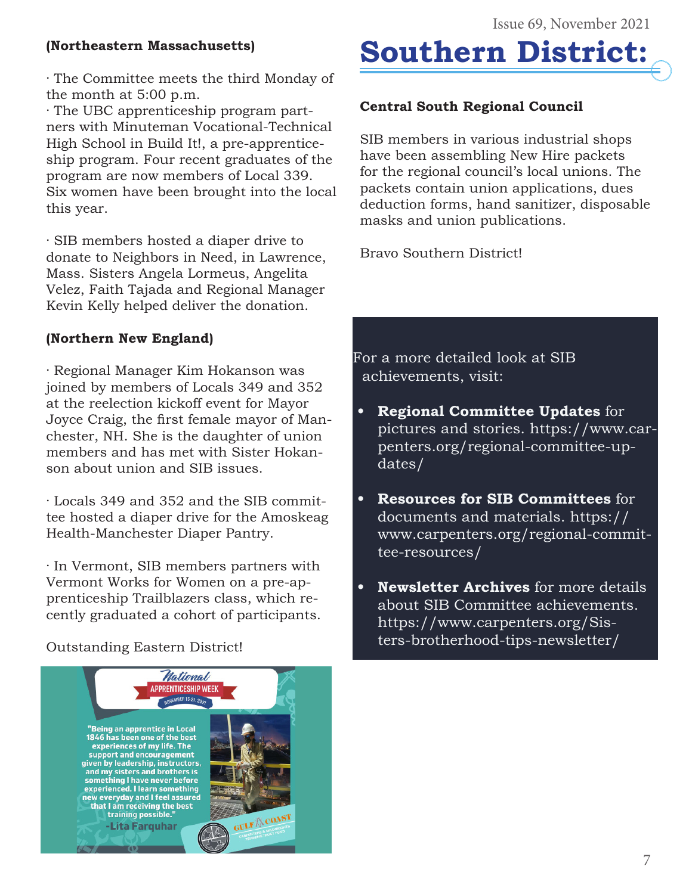### **(Northeastern Massachusetts)**

· The Committee meets the third Monday of the month at 5:00 p.m.

· The UBC apprenticeship program partners with Minuteman Vocational-Technical High School in Build It!, a pre-apprenticeship program. Four recent graduates of the program are now members of Local 339. Six women have been brought into the local this year.

· SIB members hosted a diaper drive to donate to Neighbors in Need, in Lawrence, Mass. Sisters Angela Lormeus, Angelita Velez, Faith Tajada and Regional Manager Kevin Kelly helped deliver the donation.

# **(Northern New England)**

· Regional Manager Kim Hokanson was joined by members of Locals 349 and 352 at the reelection kickoff event for Mayor Joyce Craig, the first female mayor of Manchester, NH. She is the daughter of union members and has met with Sister Hokanson about union and SIB issues.

· Locals 349 and 352 and the SIB committee hosted a diaper drive for the Amoskeag Health-Manchester Diaper Pantry.

· In Vermont, SIB members partners with Vermont Works for Women on a pre-apprenticeship Trailblazers class, which recently graduated a cohort of participants.

## Outstanding Eastern District!





## **Central South Regional Council**

SIB members in various industrial shops have been assembling New Hire packets for the regional council's local unions. The packets contain union applications, dues deduction forms, hand sanitizer, disposable masks and union publications.

Bravo Southern District!

For a more detailed look at SIB achievements, visit:

- **• Regional Committee Updates** for [pictures and stories. https://www.car](https://www.carpenters.org/regional-committee-updates/)penters.org/regional-committee-updates/
- **• Resources for SIB Committees** for documents and materials. https:// [www.carpenters.org/regional-commit](https://www.carpenters.org/regional-committee-resources/)tee-resources/
- **• Newsletter Archives** for more details about SIB Committee achievements. https://www.carpenters.org/Sis[ters-brotherhood-tips-newsletter/](https://www.carpenters.org/regional-committee-resources/)